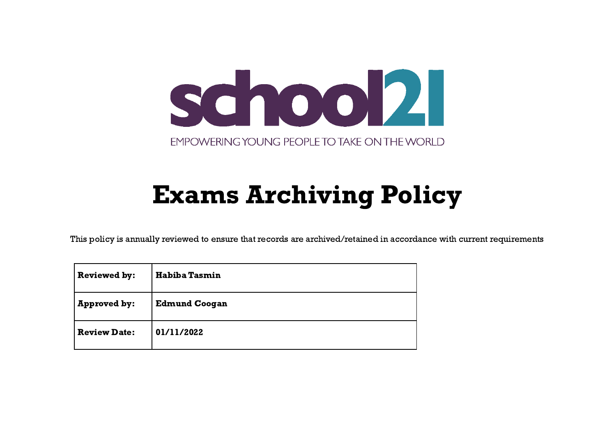

## Exams Archiving Policy

This policy is annually reviewed to ensure that records are archived/retained in accordance with current requirements

| <b>Reviewed by:</b> | <b>Habiba Tasmin</b> |
|---------------------|----------------------|
| <b>Approved by:</b> | <b>Edmund Coogan</b> |
| <b>Review Date:</b> | 01/11/2022           |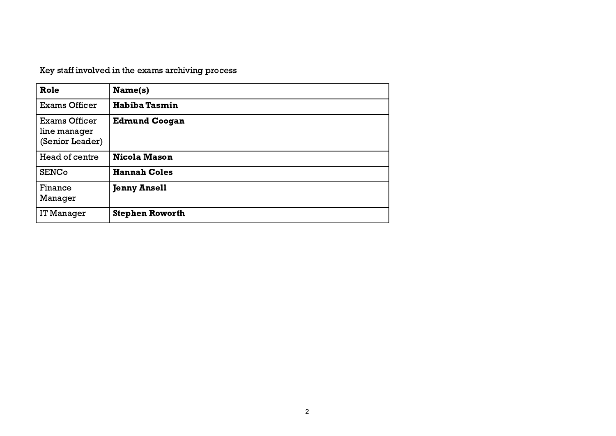Key staff involved in the exams archiving process

| Role                                                    | Name(s)                |
|---------------------------------------------------------|------------------------|
| <b>Exams Officer</b>                                    | <b>Habiba Tasmin</b>   |
| <b>Exams Officer</b><br>line manager<br>(Senior Leader) | <b>Edmund Coogan</b>   |
| Head of centre                                          | <b>Nicola Mason</b>    |
| <b>SENCo</b>                                            | <b>Hannah Coles</b>    |
| Finance<br>Manager                                      | <b>Jenny Ansell</b>    |
| IT Manager                                              | <b>Stephen Roworth</b> |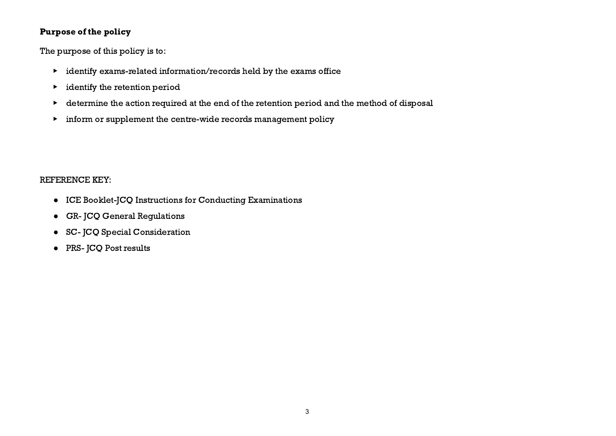## Purpose of the policy

The purpose of this policy is to:

- ▶ identify exams-related information/records held by the exams office
- $\blacktriangleright$  identify the retention period
- ▶ determine the action required at the end of the retention period and the method of disposal
- ▶ inform or supplement the centre-wide records management policy

## REFERENCE KEY:

- ICE Booklet-JCQ Instructions for Conducting Examinations
- GR- JCQ General Regulations
- SC- JCQ Special Consideration
- PRS- JCQ Post results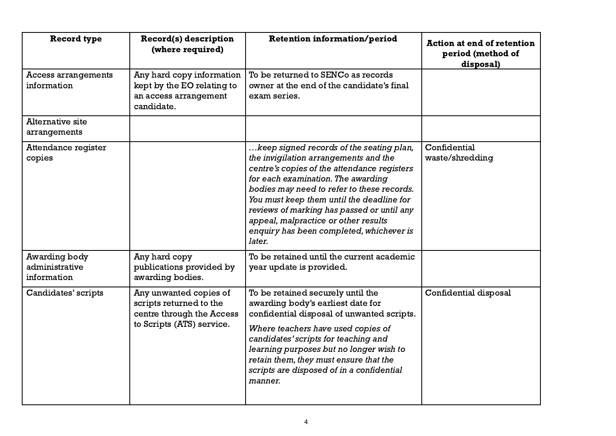| <b>Record type</b>                             | Record(s) description<br>(where required)                                                                   | <b>Retention information/period</b>                                                                                                                                                                                                                                                                                                                                                                           | <b>Action at end of retention</b><br>period (method of<br>disposal) |
|------------------------------------------------|-------------------------------------------------------------------------------------------------------------|---------------------------------------------------------------------------------------------------------------------------------------------------------------------------------------------------------------------------------------------------------------------------------------------------------------------------------------------------------------------------------------------------------------|---------------------------------------------------------------------|
| Access arrangements<br>information             | Any hard copy information<br>kept by the EO relating to<br>an access arrangement<br>candidate.              | To be returned to SENCo as records<br>owner at the end of the candidate's final<br>exam series.                                                                                                                                                                                                                                                                                                               |                                                                     |
| <b>Alternative site</b><br>arrangements        |                                                                                                             |                                                                                                                                                                                                                                                                                                                                                                                                               |                                                                     |
| Attendance register<br>copies                  |                                                                                                             | keep signed records of the seating plan,<br>the invigilation arrangements and the<br>centre's copies of the attendance registers<br>for each examination. The awarding<br>bodies may need to refer to these records.<br>You must keep them until the deadline for<br>reviews of marking has passed or until any<br>appeal, malpractice or other results<br>enquiry has been completed, whichever is<br>later. | Confidential<br>waste/shredding                                     |
| Awarding body<br>administrative<br>information | Any hard copy<br>publications provided by<br>awarding bodies.                                               | To be retained until the current academic<br>year update is provided.                                                                                                                                                                                                                                                                                                                                         |                                                                     |
| Candidates' scripts                            | Any unwanted copies of<br>scripts returned to the<br>centre through the Access<br>to Scripts (ATS) service. | To be retained securely until the<br>awarding body's earliest date for<br>confidential disposal of unwanted scripts.<br>Where teachers have used copies of<br>candidates' scripts for teaching and<br>learning purposes but no longer wish to<br>retain them, they must ensure that the<br>scripts are disposed of in a confidential<br>manner.                                                               | Confidential disposal                                               |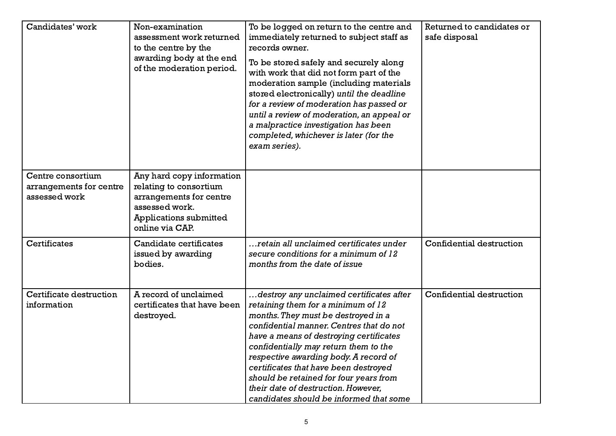| Candidates' work                                              | Non-examination<br>assessment work returned<br>to the centre by the<br>awarding body at the end<br>of the moderation period.                  | To be logged on return to the centre and<br>immediately returned to subject staff as<br>records owner.<br>To be stored safely and securely along<br>with work that did not form part of the<br>moderation sample (including materials<br>stored electronically) until the deadline<br>for a review of moderation has passed or<br>until a review of moderation, an appeal or<br>a malpractice investigation has been<br>completed, whichever is later (for the<br>exam series). | Returned to candidates or<br>safe disposal |
|---------------------------------------------------------------|-----------------------------------------------------------------------------------------------------------------------------------------------|---------------------------------------------------------------------------------------------------------------------------------------------------------------------------------------------------------------------------------------------------------------------------------------------------------------------------------------------------------------------------------------------------------------------------------------------------------------------------------|--------------------------------------------|
| Centre consortium<br>arrangements for centre<br>assessed work | Any hard copy information<br>relating to consortium<br>arrangements for centre<br>assessed work.<br>Applications submitted<br>online via CAP. |                                                                                                                                                                                                                                                                                                                                                                                                                                                                                 |                                            |
| <b>Certificates</b>                                           | Candidate certificates<br>issued by awarding<br>bodies.                                                                                       | retain all unclaimed certificates under<br>secure conditions for a minimum of 12<br>months from the date of issue                                                                                                                                                                                                                                                                                                                                                               | Confidential destruction                   |
| Certificate destruction<br>information                        | A record of unclaimed<br>certificates that have been<br>destroyed.                                                                            | destroy any unclaimed certificates after<br>retaining them for a minimum of 12<br>months. They must be destroyed in a<br>confidential manner. Centres that do not<br>have a means of destroying certificates<br>confidentially may return them to the<br>respective awarding body. A record of<br>certificates that have been destroyed<br>should be retained for four years from<br>their date of destruction. However,<br>candidates should be informed that some             | Confidential destruction                   |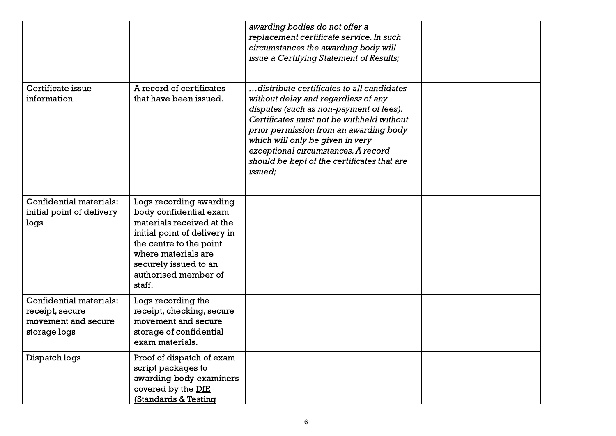|                                                                                   |                                                                                                                                                                                                                             | awarding bodies do not offer a<br>replacement certificate service. In such<br>circumstances the awarding body will<br>issue a Certifying Statement of Results;                                                                                                                                                                                          |  |
|-----------------------------------------------------------------------------------|-----------------------------------------------------------------------------------------------------------------------------------------------------------------------------------------------------------------------------|---------------------------------------------------------------------------------------------------------------------------------------------------------------------------------------------------------------------------------------------------------------------------------------------------------------------------------------------------------|--|
| Certificate issue<br>information                                                  | A record of certificates<br>that have been issued.                                                                                                                                                                          | distribute certificates to all candidates<br>without delay and regardless of any<br>disputes (such as non-payment of fees).<br>Certificates must not be withheld without<br>prior permission from an awarding body<br>which will only be given in very<br>exceptional circumstances. A record<br>should be kept of the certificates that are<br>issued; |  |
| Confidential materials:<br>initial point of delivery<br>logs                      | Logs recording awarding<br>body confidential exam<br>materials received at the<br>initial point of delivery in<br>the centre to the point<br>where materials are<br>securely issued to an<br>authorised member of<br>staff. |                                                                                                                                                                                                                                                                                                                                                         |  |
| Confidential materials:<br>receipt, secure<br>movement and secure<br>storage logs | Logs recording the<br>receipt, checking, secure<br>movement and secure<br>storage of confidential<br>exam materials.                                                                                                        |                                                                                                                                                                                                                                                                                                                                                         |  |
| Dispatch logs                                                                     | Proof of dispatch of exam<br>script packages to<br>awarding body examiners<br>covered by the DfE<br>(Standards & Testing                                                                                                    |                                                                                                                                                                                                                                                                                                                                                         |  |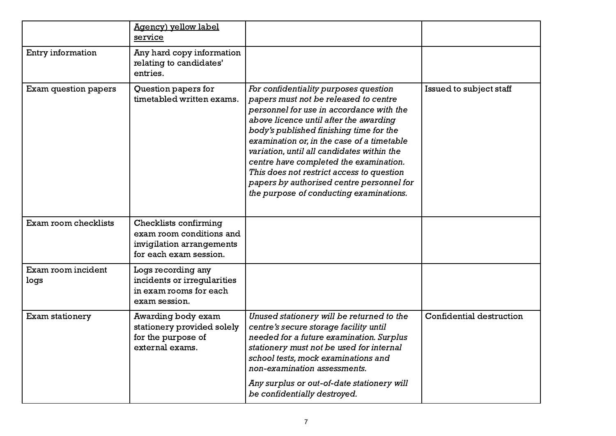|                            | Agency) yellow label<br>service                                                                                 |                                                                                                                                                                                                                                                                                                                                                                                                                                                                                            |                          |
|----------------------------|-----------------------------------------------------------------------------------------------------------------|--------------------------------------------------------------------------------------------------------------------------------------------------------------------------------------------------------------------------------------------------------------------------------------------------------------------------------------------------------------------------------------------------------------------------------------------------------------------------------------------|--------------------------|
| Entry information          | Any hard copy information<br>relating to candidates'<br>entries.                                                |                                                                                                                                                                                                                                                                                                                                                                                                                                                                                            |                          |
| Exam question papers       | Question papers for<br>timetabled written exams.                                                                | For confidentiality purposes question<br>papers must not be released to centre<br>personnel for use in accordance with the<br>above licence until after the awarding<br>body's published finishing time for the<br>examination or, in the case of a timetable<br>variation, until all candidates within the<br>centre have completed the examination.<br>This does not restrict access to question<br>papers by authorised centre personnel for<br>the purpose of conducting examinations. | Issued to subject staff  |
| Exam room checklists       | <b>Checklists confirming</b><br>exam room conditions and<br>invigilation arrangements<br>for each exam session. |                                                                                                                                                                                                                                                                                                                                                                                                                                                                                            |                          |
| Exam room incident<br>logs | Logs recording any<br>incidents or irregularities<br>in exam rooms for each<br>exam session.                    |                                                                                                                                                                                                                                                                                                                                                                                                                                                                                            |                          |
| Exam stationery            | Awarding body exam<br>stationery provided solely<br>for the purpose of<br>external exams.                       | Unused stationery will be returned to the<br>centre's secure storage facility until<br>needed for a future examination. Surplus<br>stationery must not be used for internal<br>school tests, mock examinations and<br>non-examination assessments.<br>Any surplus or out-of-date stationery will<br>be confidentially destroyed.                                                                                                                                                           | Confidential destruction |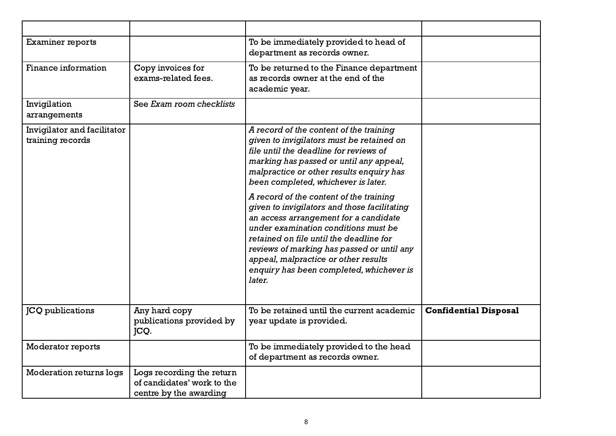| <b>Examiner reports</b>                         |                                                                                   | To be immediately provided to head of<br>department as records owner.                                                                                                                                                                                                                                                                                                                                                                                                                                                                                                                                                           |                              |
|-------------------------------------------------|-----------------------------------------------------------------------------------|---------------------------------------------------------------------------------------------------------------------------------------------------------------------------------------------------------------------------------------------------------------------------------------------------------------------------------------------------------------------------------------------------------------------------------------------------------------------------------------------------------------------------------------------------------------------------------------------------------------------------------|------------------------------|
| Finance information                             | Copy invoices for<br>exams-related fees.                                          | To be returned to the Finance department<br>as records owner at the end of the<br>academic year.                                                                                                                                                                                                                                                                                                                                                                                                                                                                                                                                |                              |
| Invigilation<br>arrangements                    | See Exam room checklists                                                          |                                                                                                                                                                                                                                                                                                                                                                                                                                                                                                                                                                                                                                 |                              |
| Invigilator and facilitator<br>training records |                                                                                   | A record of the content of the training<br>given to invigilators must be retained on<br>file until the deadline for reviews of<br>marking has passed or until any appeal,<br>malpractice or other results enquiry has<br>been completed, whichever is later.<br>A record of the content of the training<br>given to invigilators and those facilitating<br>an access arrangement for a candidate<br>under examination conditions must be<br>retained on file until the deadline for<br>reviews of marking has passed or until any<br>appeal, malpractice or other results<br>enquiry has been completed, whichever is<br>later. |                              |
| <b>JCQ</b> publications                         | Any hard copy<br>publications provided by<br>JCQ.                                 | To be retained until the current academic<br>year update is provided.                                                                                                                                                                                                                                                                                                                                                                                                                                                                                                                                                           | <b>Confidential Disposal</b> |
| Moderator reports                               |                                                                                   | To be immediately provided to the head<br>of department as records owner.                                                                                                                                                                                                                                                                                                                                                                                                                                                                                                                                                       |                              |
| <b>Moderation returns logs</b>                  | Logs recording the return<br>of candidates' work to the<br>centre by the awarding |                                                                                                                                                                                                                                                                                                                                                                                                                                                                                                                                                                                                                                 |                              |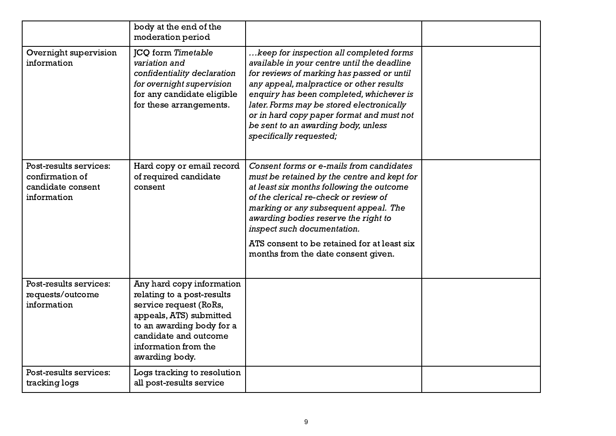|                                                                               | body at the end of the<br>moderation period                                                                                                                                                                  |                                                                                                                                                                                                                                                                                                                                                                                          |  |
|-------------------------------------------------------------------------------|--------------------------------------------------------------------------------------------------------------------------------------------------------------------------------------------------------------|------------------------------------------------------------------------------------------------------------------------------------------------------------------------------------------------------------------------------------------------------------------------------------------------------------------------------------------------------------------------------------------|--|
| Overnight supervision<br>information                                          | <b>JCQ</b> form Timetable<br>variation and<br>confidentiality declaration<br>for overnight supervision<br>for any candidate eligible<br>for these arrangements.                                              | keep for inspection all completed forms<br>available in your centre until the deadline<br>for reviews of marking has passed or until<br>any appeal, malpractice or other results<br>enquiry has been completed, whichever is<br>later. Forms may be stored electronically<br>or in hard copy paper format and must not<br>be sent to an awarding body, unless<br>specifically requested; |  |
| Post-results services:<br>confirmation of<br>candidate consent<br>information | Hard copy or email record<br>of required candidate<br>consent                                                                                                                                                | Consent forms or e-mails from candidates<br>must be retained by the centre and kept for<br>at least six months following the outcome<br>of the clerical re-check or review of<br>marking or any subsequent appeal. The<br>awarding bodies reserve the right to<br>inspect such documentation.<br>ATS consent to be retained for at least six<br>months from the date consent given.      |  |
| Post-results services:<br>requests/outcome<br>information                     | Any hard copy information<br>relating to a post-results<br>service request (RoRs,<br>appeals, ATS) submitted<br>to an awarding body for a<br>candidate and outcome<br>information from the<br>awarding body. |                                                                                                                                                                                                                                                                                                                                                                                          |  |
| Post-results services:<br>tracking logs                                       | Logs tracking to resolution<br>all post-results service                                                                                                                                                      |                                                                                                                                                                                                                                                                                                                                                                                          |  |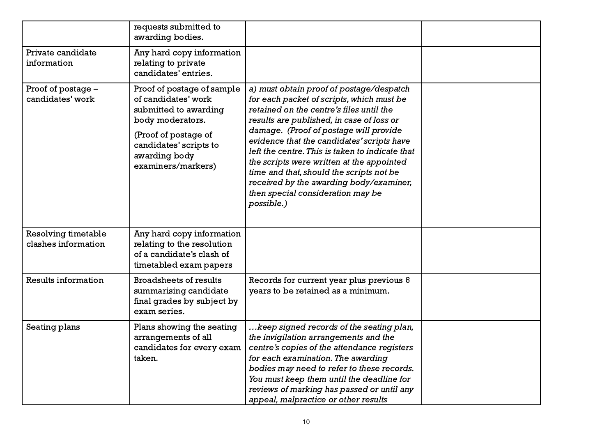|                                            | requests submitted to<br>awarding bodies.                                                                                                                                               |                                                                                                                                                                                                                                                                                                                                                                                                                                                                                                                  |  |
|--------------------------------------------|-----------------------------------------------------------------------------------------------------------------------------------------------------------------------------------------|------------------------------------------------------------------------------------------------------------------------------------------------------------------------------------------------------------------------------------------------------------------------------------------------------------------------------------------------------------------------------------------------------------------------------------------------------------------------------------------------------------------|--|
| Private candidate<br>information           | Any hard copy information<br>relating to private<br>candidates' entries.                                                                                                                |                                                                                                                                                                                                                                                                                                                                                                                                                                                                                                                  |  |
| Proof of postage -<br>candidates' work     | Proof of postage of sample<br>of candidates' work<br>submitted to awarding<br>body moderators.<br>(Proof of postage of<br>candidates' scripts to<br>awarding body<br>examiners/markers) | a) must obtain proof of postage/despatch<br>for each packet of scripts, which must be<br>retained on the centre's files until the<br>results are published, in case of loss or<br>damage. (Proof of postage will provide<br>evidence that the candidates' scripts have<br>left the centre. This is taken to indicate that<br>the scripts were written at the appointed<br>time and that, should the scripts not be<br>received by the awarding body/examiner,<br>then special consideration may be<br>possible.) |  |
| Resolving timetable<br>clashes information | Any hard copy information<br>relating to the resolution<br>of a candidate's clash of<br>timetabled exam papers                                                                          |                                                                                                                                                                                                                                                                                                                                                                                                                                                                                                                  |  |
| Results information                        | <b>Broadsheets of results</b><br>summarising candidate<br>final grades by subject by<br>exam series.                                                                                    | Records for current year plus previous 6<br>years to be retained as a minimum.                                                                                                                                                                                                                                                                                                                                                                                                                                   |  |
| Seating plans                              | Plans showing the seating<br>arrangements of all<br>candidates for every exam $ $<br>taken.                                                                                             | keep signed records of the seating plan,<br>the invigilation arrangements and the<br>centre's copies of the attendance registers<br>for each examination. The awarding<br>bodies may need to refer to these records.<br>You must keep them until the deadline for<br>reviews of marking has passed or until any<br>appeal, malpractice or other results                                                                                                                                                          |  |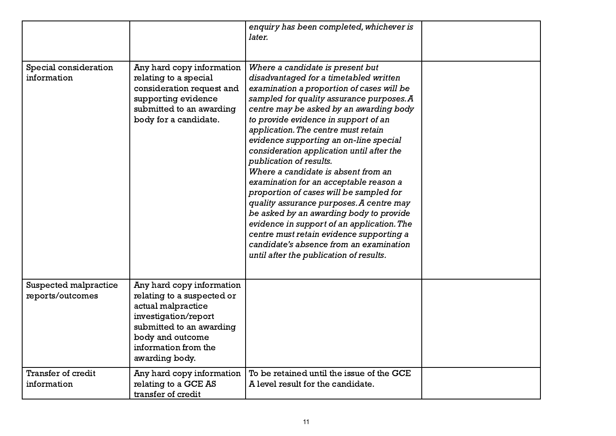|                                           |                                                                                                                                                                                                 | enquiry has been completed, whichever is<br>later.                                                                                                                                                                                                                                                                                                                                                                                                                                                                                                                                                                                                                                                                                                                                                                  |  |
|-------------------------------------------|-------------------------------------------------------------------------------------------------------------------------------------------------------------------------------------------------|---------------------------------------------------------------------------------------------------------------------------------------------------------------------------------------------------------------------------------------------------------------------------------------------------------------------------------------------------------------------------------------------------------------------------------------------------------------------------------------------------------------------------------------------------------------------------------------------------------------------------------------------------------------------------------------------------------------------------------------------------------------------------------------------------------------------|--|
| Special consideration<br>information      | Any hard copy information<br>relating to a special<br>consideration request and<br>supporting evidence<br>submitted to an awarding<br>body for a candidate.                                     | Where a candidate is present but<br>disadvantaged for a timetabled written<br>examination a proportion of cases will be<br>sampled for quality assurance purposes. A<br>centre may be asked by an awarding body<br>to provide evidence in support of an<br>application. The centre must retain<br>evidence supporting an on-line special<br>consideration application until after the<br>publication of results.<br>Where a candidate is absent from an<br>examination for an acceptable reason a<br>proportion of cases will be sampled for<br>quality assurance purposes. A centre may<br>be asked by an awarding body to provide<br>evidence in support of an application. The<br>centre must retain evidence supporting a<br>candidate's absence from an examination<br>until after the publication of results. |  |
| Suspected malpractice<br>reports/outcomes | Any hard copy information<br>relating to a suspected or<br>actual malpractice<br>investigation/report<br>submitted to an awarding<br>body and outcome<br>information from the<br>awarding body. |                                                                                                                                                                                                                                                                                                                                                                                                                                                                                                                                                                                                                                                                                                                                                                                                                     |  |
| Transfer of credit<br>information         | Any hard copy information<br>relating to a GCE AS<br>transfer of credit                                                                                                                         | To be retained until the issue of the GCE<br>A level result for the candidate.                                                                                                                                                                                                                                                                                                                                                                                                                                                                                                                                                                                                                                                                                                                                      |  |